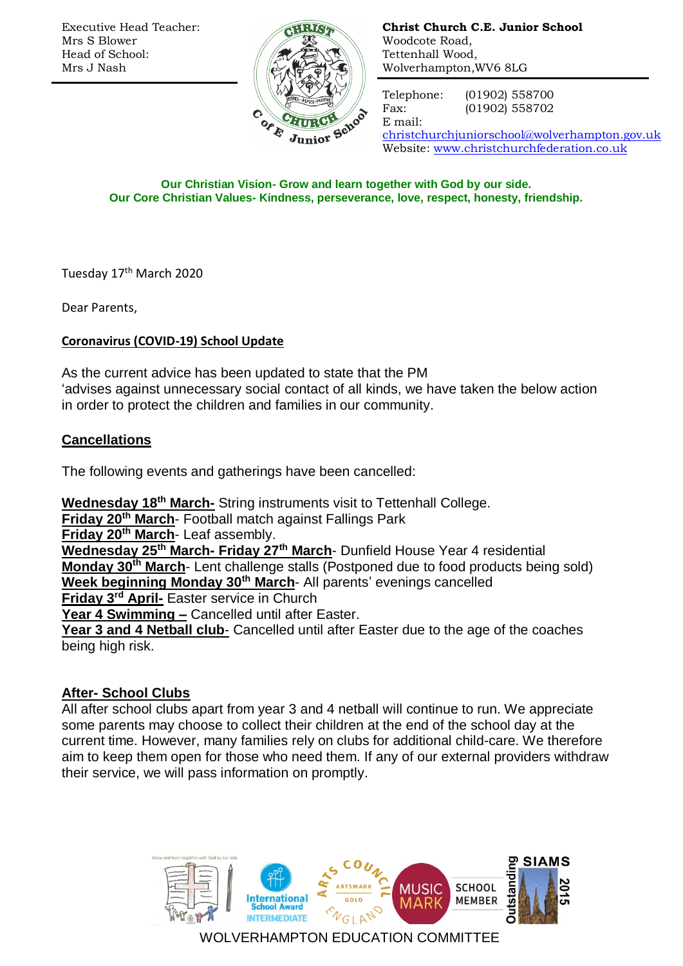Executive Head Teacher: Mrs S Blower Head of School: Mrs J Nash



**Christ Church C.E. Junior School** Woodcote Road, Tettenhall Wood, Wolverhampton,WV6 8LG

E mail:

Telephone: (01902) 558700 Fax: (01902) 558702

[christchurchjuniorschool@wolverhampton.gov.uk](mailto:christchurchjuniorschool@wolverhampton.gov.uk) Website: [www.christchurchfederation.co.uk](http://www.christchurchfederation.co.uk/)

**Our Christian Vision- Grow and learn together with God by our side. Our Core Christian Values- Kindness, perseverance, love, respect, honesty, friendship.**

Tuesday 17<sup>th</sup> March 2020

Dear Parents,

## **Coronavirus (COVID-19) School Update**

As the current advice has been updated to state that the PM 'advises against unnecessary social contact of all kinds, we have taken the below action in order to protect the children and families in our community.

# **Cancellations**

The following events and gatherings have been cancelled:

**Wednesday 18th March-** String instruments visit to Tettenhall College.

**Friday 20th March**- Football match against Fallings Park

**Friday 20th March**- Leaf assembly.

**Wednesday 25th March- Friday 27th March**- Dunfield House Year 4 residential **Monday 30th March**- Lent challenge stalls (Postponed due to food products being sold) **Week beginning Monday 30th March**- All parents' evenings cancelled **Friday 3rd April-** Easter service in Church

**Year 4 Swimming –** Cancelled until after Easter.

Year 3 and 4 Netball club- Cancelled until after Easter due to the age of the coaches being high risk.

# **After- School Clubs**

All after school clubs apart from year 3 and 4 netball will continue to run. We appreciate some parents may choose to collect their children at the end of the school day at the current time. However, many families rely on clubs for additional child-care. We therefore aim to keep them open for those who need them. If any of our external providers withdraw their service, we will pass information on promptly.